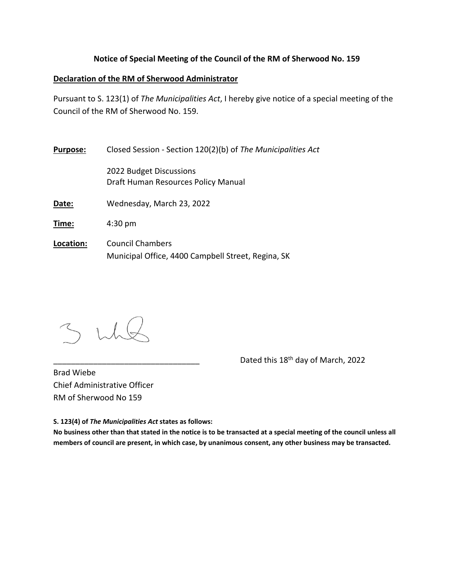## **Notice of Special Meeting of the Council of the RM of Sherwood No. 159**

## **Declaration of the RM of Sherwood Administrator**

Pursuant to S. 123(1) of *The Municipalities Act*, I hereby give notice of a special meeting of the Council of the RM of Sherwood No. 159.

| <b>Purpose:</b> | Closed Session - Section 120(2)(b) of The Municipalities Act   |
|-----------------|----------------------------------------------------------------|
|                 | 2022 Budget Discussions<br>Draft Human Resources Policy Manual |
| Date:           | Wednesday, March 23, 2022                                      |
| Time:           | $4:30 \text{ pm}$                                              |
| Location:       | <b>Council Chambers</b>                                        |

Municipal Office, 4400 Campbell Street, Regina, SK

Dated this 18<sup>th</sup> day of March, 2022

Brad Wiebe Chief Administrative Officer RM of Sherwood No 159

**S. 123(4) of** *The Municipalities Act* **states as follows:**

No business other than that stated in the notice is to be transacted at a special meeting of the council unless all members of council are present, in which case, by unanimous consent, any other business may be transacted.